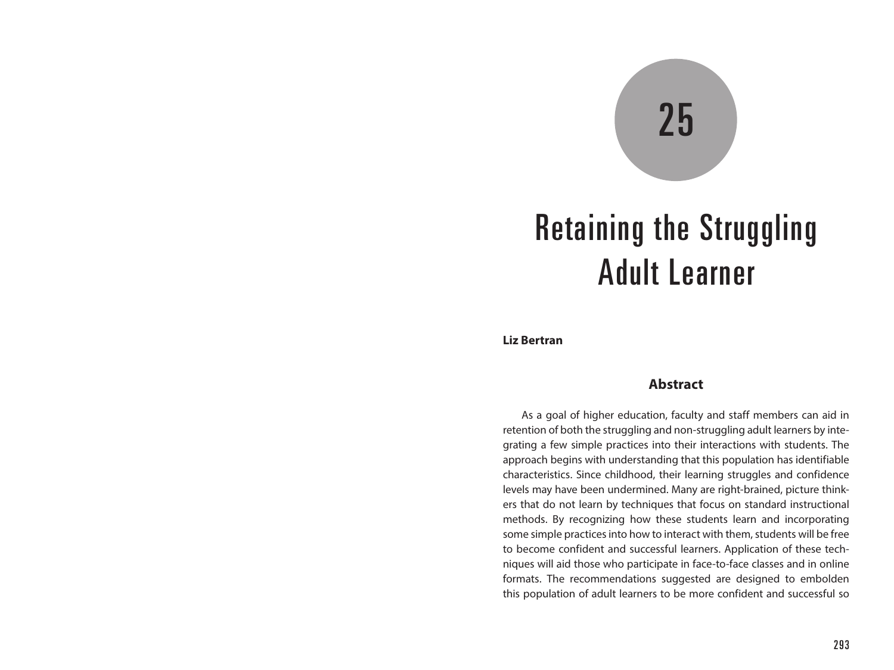# 25

# Retaining the Struggling Adult Learner

**Liz Bertran**

#### **Abstract**

As a goal of higher education, faculty and staff members can aid in retention of both the struggling and non-struggling adult learners by integrating a few simple practices into their interactions with students. The approach begins with understanding that this population has identifiable characteristics. Since childhood, their learning struggles and confidence levels may have been undermined. Many are right-brained, picture thinkers that do not learn by techniques that focus on standard instructional methods. By recognizing how these students learn and incorporating some simple practices into how to interact with them, students will be free to become confident and successful learners. Application of these techniques will aid those who participate in face-to-face classes and in online formats. The recommendations suggested are designed to embolden this population of adult learners to be more confident and successful so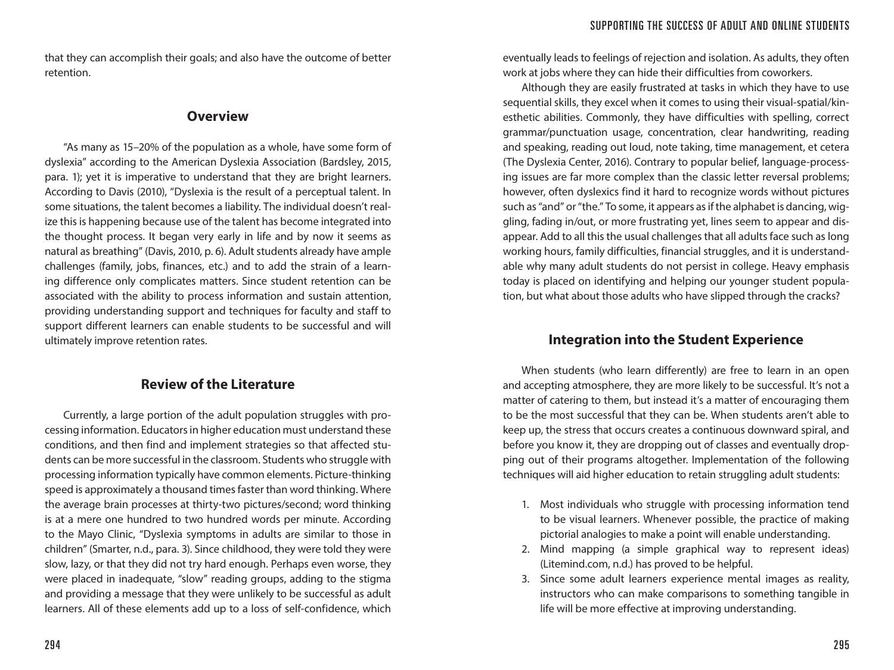that they can accomplish their goals; and also have the outcome of better retention.

#### **Overview**

"As many as 15–20% of the population as a whole, have some form of dyslexia" according to the American Dyslexia Association (Bardsley, 2015, para. 1); yet it is imperative to understand that they are bright learners. According to Davis (2010), "Dyslexia is the result of a perceptual talent. In some situations, the talent becomes a liability. The individual doesn't realize this is happening because use of the talent has become integrated into the thought process. It began very early in life and by now it seems as natural as breathing" (Davis, 2010, p. 6). Adult students already have ample challenges (family, jobs, finances, etc.) and to add the strain of a learning difference only complicates matters. Since student retention can be associated with the ability to process information and sustain attention, providing understanding support and techniques for faculty and staff to support different learners can enable students to be successful and will ultimately improve retention rates.

### **Review of the Literature**

Currently, a large portion of the adult population struggles with processing information. Educators in higher education must understand these conditions, and then find and implement strategies so that affected students can be more successful in the classroom. Students who struggle with processing information typically have common elements. Picture-thinking speed is approximately a thousand times faster than word thinking. Where the average brain processes at thirty-two pictures/second; word thinking is at a mere one hundred to two hundred words per minute. According to the Mayo Clinic, "Dyslexia symptoms in adults are similar to those in children" (Smarter, n.d., para. 3). Since childhood, they were told they were slow, lazy, or that they did not try hard enough. Perhaps even worse, they were placed in inadequate, "slow" reading groups, adding to the stigma and providing a message that they were unlikely to be successful as adult learners. All of these elements add up to a loss of self-confidence, which

eventually leads to feelings of rejection and isolation. As adults, they often work at jobs where they can hide their difficulties from coworkers.

Although they are easily frustrated at tasks in which they have to use sequential skills, they excel when it comes to using their visual-spatial/kinesthetic abilities. Commonly, they have difficulties with spelling, correct grammar/punctuation usage, concentration, clear handwriting, reading and speaking, reading out loud, note taking, time management, et cetera (The Dyslexia Center, 2016). Contrary to popular belief, language-processing issues are far more complex than the classic letter reversal problems; however, often dyslexics find it hard to recognize words without pictures such as "and" or "the." To some, it appears as if the alphabet is dancing, wiggling, fading in/out, or more frustrating yet, lines seem to appear and disappear. Add to all this the usual challenges that all adults face such as long working hours, family difficulties, financial struggles, and it is understandable why many adult students do not persist in college. Heavy emphasis today is placed on identifying and helping our younger student population, but what about those adults who have slipped through the cracks?

# **Integration into the Student Experience**

When students (who learn differently) are free to learn in an open and accepting atmosphere, they are more likely to be successful. It's not a matter of catering to them, but instead it's a matter of encouraging them to be the most successful that they can be. When students aren't able to keep up, the stress that occurs creates a continuous downward spiral, and before you know it, they are dropping out of classes and eventually dropping out of their programs altogether. Implementation of the following techniques will aid higher education to retain struggling adult students:

- 1. Most individuals who struggle with processing information tend to be visual learners. Whenever possible, the practice of making pictorial analogies to make a point will enable understanding.
- 2. Mind mapping (a simple graphical way to represent ideas) (Litemind.com, n.d.) has proved to be helpful.
- 3. Since some adult learners experience mental images as reality, instructors who can make comparisons to something tangible in life will be more effective at improving understanding.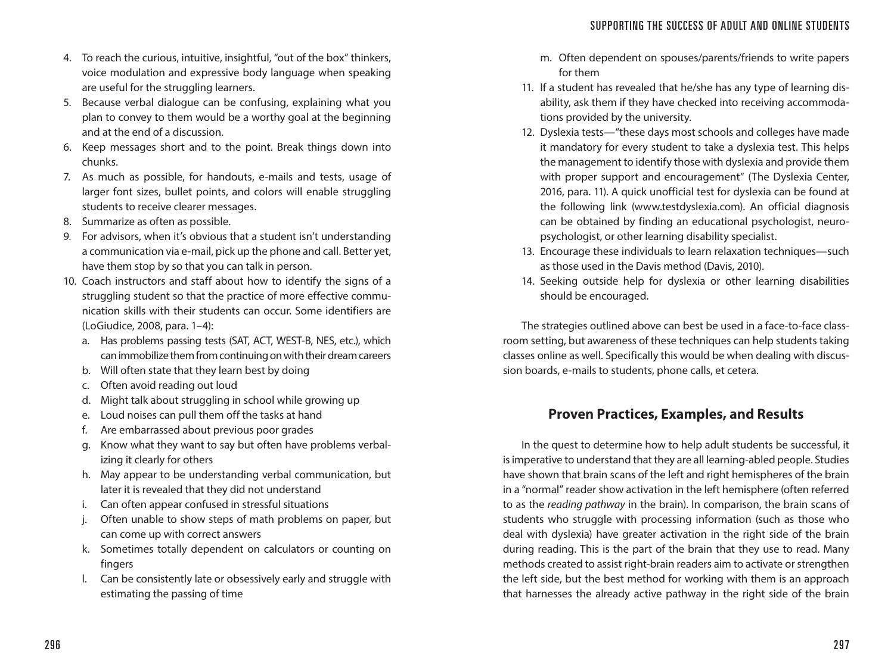- 4. To reach the curious, intuitive, insightful, "out of the box" thinkers, voice modulation and expressive body language when speaking are useful for the struggling learners.
- 5. Because verbal dialogue can be confusing, explaining what you plan to convey to them would be a worthy goal at the beginning and at the end of a discussion.
- 6. Keep messages short and to the point. Break things down into chunks.
- 7. As much as possible, for handouts, e-mails and tests, usage of larger font sizes, bullet points, and colors will enable struggling students to receive clearer messages.
- 8. Summarize as often as possible.
- 9. For advisors, when it's obvious that a student isn't understanding a communication via e-mail, pick up the phone and call. Better yet, have them stop by so that you can talk in person.
- 10. Coach instructors and staff about how to identify the signs of a struggling student so that the practice of more effective communication skills with their students can occur. Some identifiers are (LoGiudice, 2008, para. 1–4):
	- a. Has problems passing tests (SAT, ACT, WEST-B, NES, etc.), which can immobilize them from continuing on with their dream careers
	- b. Will often state that they learn best by doing
	- c. Often avoid reading out loud
	- d. Might talk about struggling in school while growing up
	- e. Loud noises can pull them off the tasks at hand
	- f. Are embarrassed about previous poor grades
	- g. Know what they want to say but often have problems verbalizing it clearly for others
	- h. May appear to be understanding verbal communication, but later it is revealed that they did not understand
	- i. Can often appear confused in stressful situations
	- j. Often unable to show steps of math problems on paper, but can come up with correct answers
	- k. Sometimes totally dependent on calculators or counting on fingers
	- l. Can be consistently late or obsessively early and struggle with estimating the passing of time
- m. Often dependent on spouses/parents/friends to write papers for them
- 11. If a student has revealed that he/she has any type of learning disability, ask them if they have checked into receiving accommodations provided by the university.
- 12. Dyslexia tests—"these days most schools and colleges have made it mandatory for every student to take a dyslexia test. This helps the management to identify those with dyslexia and provide them with proper support and encouragement" (The Dyslexia Center, 2016, para. 11). A quick unofficial test for dyslexia can be found at the following link (www.testdyslexia.com). An official diagnosis can be obtained by finding an educational psychologist, neuropsychologist, or other learning disability specialist.
- 13. Encourage these individuals to learn relaxation techniques—such as those used in the Davis method (Davis, 2010).
- 14. Seeking outside help for dyslexia or other learning disabilities should be encouraged.

The strategies outlined above can best be used in a face-to-face classroom setting, but awareness of these techniques can help students taking classes online as well. Specifically this would be when dealing with discussion boards, e-mails to students, phone calls, et cetera.

# **Proven Practices, Examples, and Results**

In the quest to determine how to help adult students be successful, it is imperative to understand that they are all learning-abled people. Studies have shown that brain scans of the left and right hemispheres of the brain in a "normal" reader show activation in the left hemisphere (often referred to as the *reading pathway* in the brain). In comparison, the brain scans of students who struggle with processing information (such as those who deal with dyslexia) have greater activation in the right side of the brain during reading. This is the part of the brain that they use to read. Many methods created to assist right-brain readers aim to activate or strengthen the left side, but the best method for working with them is an approach that harnesses the already active pathway in the right side of the brain